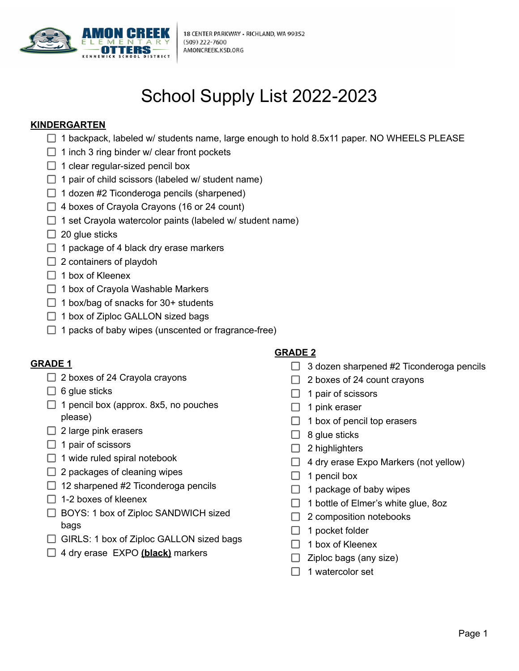

# School Supply List 2022-2023

### **KINDERGARTEN**

- 1 backpack, labeled w/ students name, large enough to hold 8.5x11 paper. NO WHEELS PLEASE
- 1 inch 3 ring binder w/ clear front pockets
- 1 clear regular-sized pencil box
- 1 pair of child scissors (labeled w/ student name)
- 1 dozen #2 Ticonderoga pencils (sharpened)
- 4 boxes of Crayola Crayons (16 or 24 count)
- $\Box$  1 set Crayola watercolor paints (labeled w/ student name)
- 20 glue sticks
- 1 package of 4 black dry erase markers
- 2 containers of playdoh
- 1 box of Kleenex
- 1 box of Crayola Washable Markers
- 1 box/bag of snacks for 30+ students
- $\Box$  1 box of Ziploc GALLON sized bags
- 1 packs of baby wipes (unscented or fragrance-free)

- $\Box$  2 boxes of 24 Crayola crayons
- $\Box$  6 glue sticks
- 1 pencil box (approx. 8x5, no pouches please)
- 2 large pink erasers
- 1 pair of scissors
- 1 wide ruled spiral notebook
- 2 packages of cleaning wipes
- 12 sharpened #2 Ticonderoga pencils
- 1-2 boxes of kleenex
- BOYS: 1 box of Ziploc SANDWICH sized bags
- GIRLS: 1 box of Ziploc GALLON sized bags
- 4 dry erase EXPO <u>(black)</u> markers Ziploc bags (any size)

# **GRADE 2**

- **GRADE 1** 3 dozen sharpened #2 Ticonderoga pencils
	- 2 boxes of 24 Crayola crayons 2 boxes of 24 count crayons
	- 6 glue sticks  $\Box$  1 pair of scissors
		- 1 pink eraser
		- 1 box of pencil top erasers
		- 8 glue sticks
		- $\Box$  2 highlighters
			- 4 dry erase Expo Markers (not yellow)
		- 1 pencil box
		- 1 package of baby wipes
		- 1 bottle of Elmer's white glue, 8oz
		- $\Box$  2 composition notebooks
		- 1 pocket folder
		- 1 box of Kleenex
		- $\Box$  Ziploc bags (any size)
		- 1 watercolor set